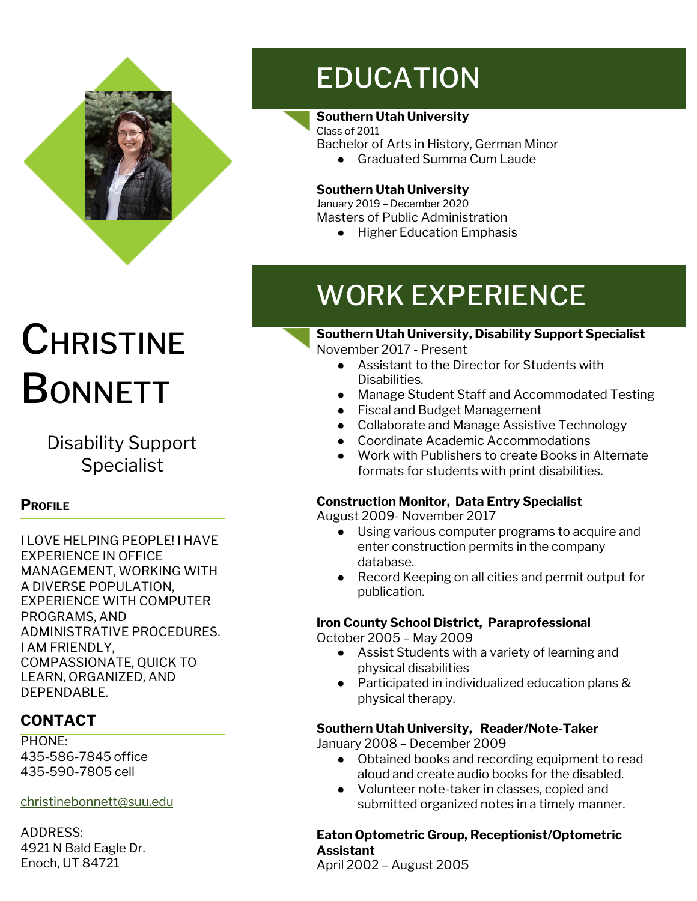

# **CHRISTINE BONNETT**

Disability Support **Specialist** 

### **PROFILE**

I LOVE HELPING PEOPLE! I HAVE EXPERIENCE IN OFFICE MANAGEMENT, WORKING WITH A DIVERSE POPULATION, EXPERIENCE WITH COMPUTER PROGRAMS, AND ADMINISTRATIVE PROCEDURES. I AM FRIENDLY, COMPASSIONATE, QUICK TO LEARN, ORGANIZED, AND DEPENDABLE.

### **CONTACT**

PHONE: 435-586-7845 office 435-590-7805 cell

[christinebonnett@suu.edu](mailto:christinebonnett@suu.edu)

ADDRESS: 4921 N Bald Eagle Dr. Enoch, UT 84721

## EDUCATION

### **Southern Utah University**

Class of 2011 Bachelor of Arts in History, German Minor

● Graduated Summa Cum Laude

### **Southern Utah University**

January 2019 – December 2020 Masters of Public Administration

● Higher Education Emphasis

### WORK EXPERIENCE

**Southern Utah University, Disability Support Specialist** November 2017 - Present

- Assistant to the Director for Students with Disabilities.
- Manage Student Staff and Accommodated Testing
- Fiscal and Budget Management
- Collaborate and Manage Assistive Technology
- Coordinate Academic Accommodations
- Work with Publishers to create Books in Alternate formats for students with print disabilities.

### **Construction Monitor, Data Entry Specialist**

August 2009- November 2017

- Using various computer programs to acquire and enter construction permits in the company database.
- Record Keeping on all cities and permit output for publication.

### **Iron County School District, Paraprofessional**

October 2005 – May 2009

- Assist Students with a variety of learning and physical disabilities
- Participated in individualized education plans & physical therapy.

### **Southern Utah University, Reader/Note-Taker**

January 2008 – December 2009

- Obtained books and recording equipment to read aloud and create audio books for the disabled.
- Volunteer note-taker in classes, copied and submitted organized notes in a timely manner.

#### **Eaton Optometric Group, Receptionist/Optometric Assistant**

April 2002 – August 2005